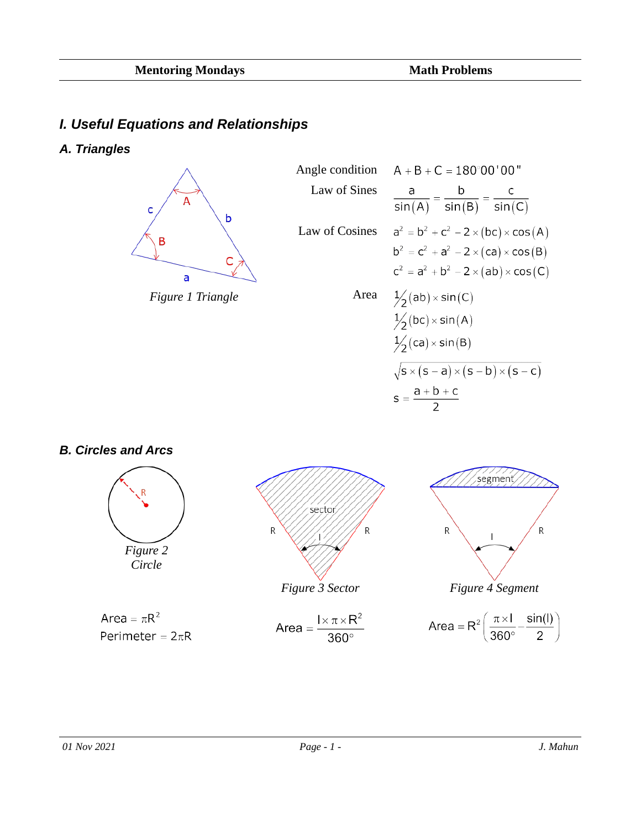## *I. Useful Equations and Relationships*

*A. Triangles*







#### *B. Circles and Arcs*

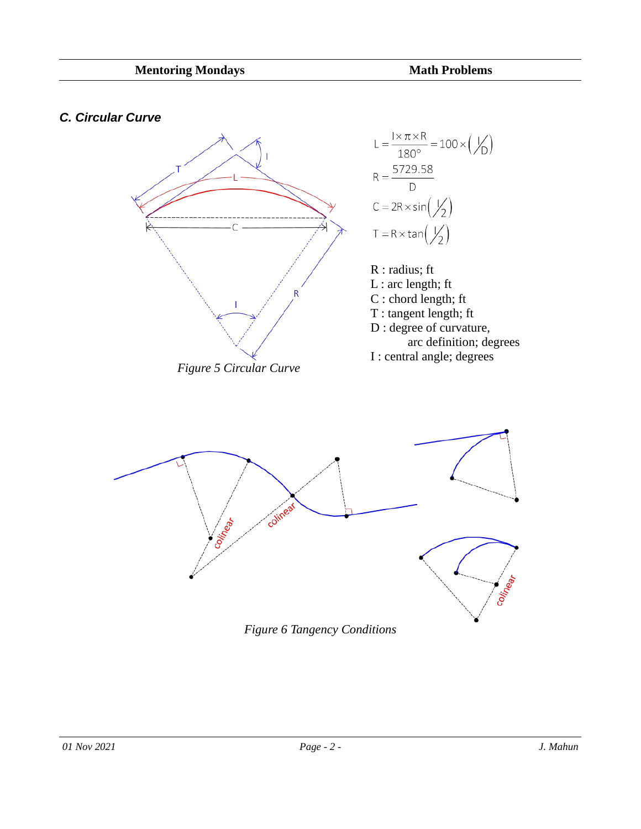#### *C. Circular Curve*



*Figure 6 Tangency Conditions*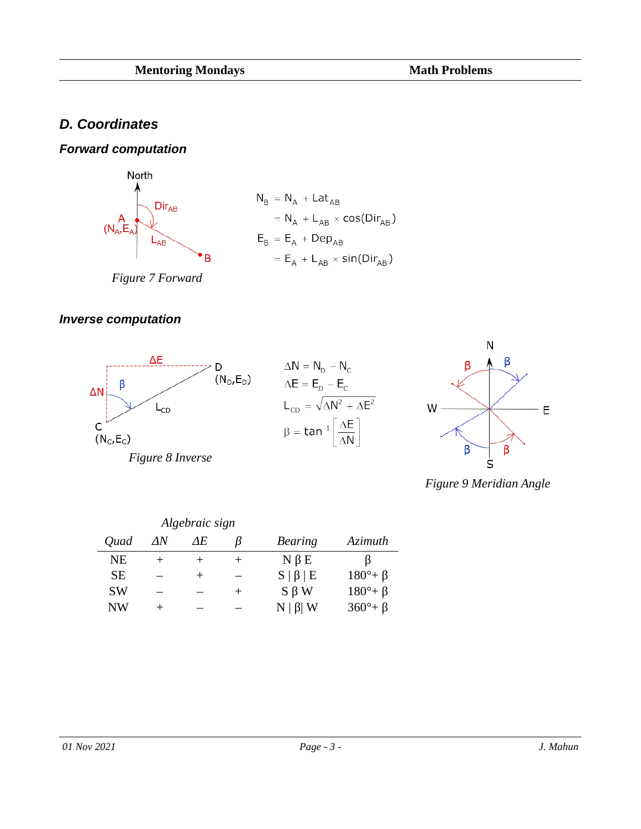# *D. Coordinates*

### *Forward computation*



*Figure 7 Forward*

#### *Inverse computation*







*Figure 9 Meridian Angle*

|           |       | Algebraic sign |       |                 |                     |
|-----------|-------|----------------|-------|-----------------|---------------------|
| Quad      | ΛN    | AF.            |       | Bearing         | <b>Azimuth</b>      |
| NE        |       | $^+$           | $\pm$ | $N \beta E$     |                     |
| <b>SE</b> |       | $\pm$          |       | $S   \beta   E$ | $180^\circ + \beta$ |
| <b>SW</b> |       |                | $\pm$ | $S \beta W$     | $180^\circ + \beta$ |
| <b>NW</b> | $\pm$ |                |       | $N   \beta   W$ | $360^\circ + \beta$ |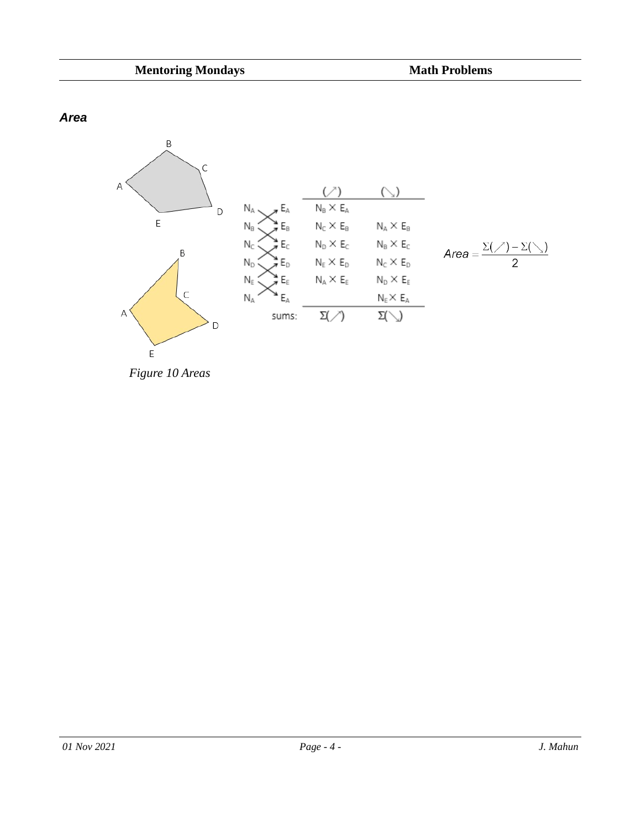*Area*



*Figure 10 Areas*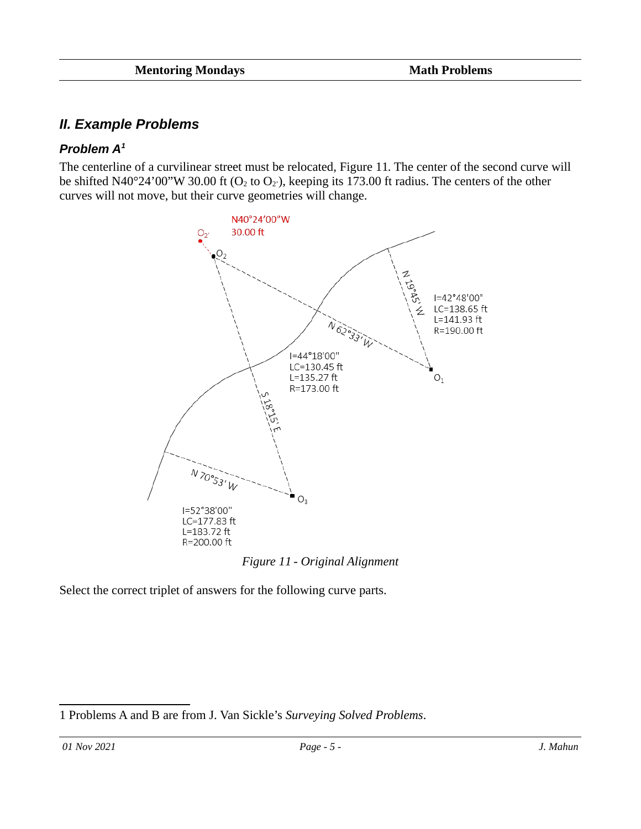## *II. Example Problems*

### <span id="page-4-1"></span>*Problem A[1](#page-4-2)*

The centerline of a curvilinear street must be relocated, Figure [11.](#page-4-0) The center of the second curve will be shifted N40°24'00"W 30.00 ft ( $O_2$  to  $O_2$ ), keeping its 173.00 ft radius. The centers of the other curves will not move, but their curve geometries will change.



<span id="page-4-0"></span>*Figure 11 - Original Alignment*

Select the correct triplet of answers for the following curve parts.

<span id="page-4-2"></span>[<sup>1</sup>](#page-4-1) Problems A and B are from J. Van Sickle's *Surveying Solved Problems*.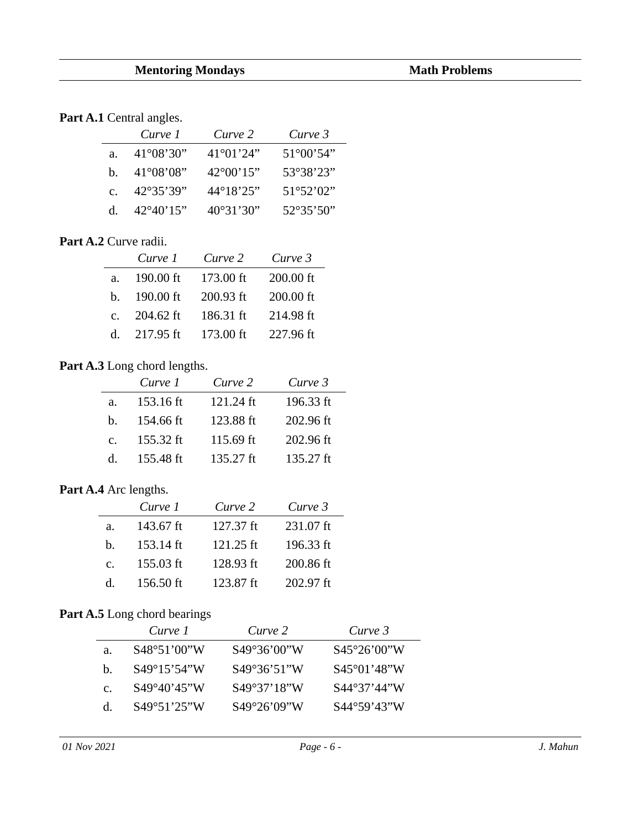#### Part A.1 Central angles.

|                | Curve 1            | Curve 2            | Curve 3            |
|----------------|--------------------|--------------------|--------------------|
| a.             | $41^{\circ}08'30"$ | $41^{\circ}01'24"$ | $51^{\circ}00'54"$ |
| h.             | $41^{\circ}08'08"$ | $42^{\circ}00'15"$ | 53°38'23"          |
| $\mathsf{C}$ . | 42°35'39"          | 44°18'25"          | 51°52'02"          |
| d.             | $42^{\circ}40'15"$ | $40^{\circ}31'30"$ | $52^{\circ}35'50"$ |

#### **Part A.2** Curve radii.

|                | Curve 1   | Curve 2   | Curve 3   |
|----------------|-----------|-----------|-----------|
| a.             | 190.00 ft | 173.00 ft | 200.00 ft |
| h.             | 190.00 ft | 200.93 ft | 200.00 ft |
| $\mathsf{C}$ . | 204.62 ft | 186.31 ft | 214.98 ft |
| d.             | 217.95 ft | 173.00 ft | 227.96 ft |

#### Part A.3 Long chord lengths.

|                | Curve 1   | Curve 2   | Curve 3   |
|----------------|-----------|-----------|-----------|
| a.             | 153.16 ft | 121.24 ft | 196.33 ft |
| h.             | 154.66 ft | 123.88 ft | 202.96 ft |
| $\mathsf{C}$ . | 155.32 ft | 115.69 ft | 202.96 ft |
| d.             | 155.48 ft | 135.27 ft | 135.27 ft |

#### **Part A.4** Arc lengths.

|    | Curve 1   | Curve 2   | Curve 3   |
|----|-----------|-----------|-----------|
| a. | 143.67 ft | 127.37 ft | 231.07 ft |
| b. | 153.14 ft | 121.25 ft | 196.33 ft |
| C. | 155.03 ft | 128.93 ft | 200.86 ft |
| d. | 156.50 ft | 123.87 ft | 202.97 ft |

### Part A.5 Long chord bearings

|                | Curve 1               | Curve 2      | Curve 3               |
|----------------|-----------------------|--------------|-----------------------|
| а.             | S48°51'00"W           | S49°36'00"W  | S45°26'00''W          |
| h.             | $S49^{\circ}15'54''W$ | S49°36'51"W  | $S45^{\circ}01'48''W$ |
| $\mathsf{C}$ . | S49°40'45"W           | S49°37'18''W | S44°37'44"W           |
| d.             | $S49^{\circ}51'25''W$ | S49°26'09''W | $S44^{\circ}59'43''W$ |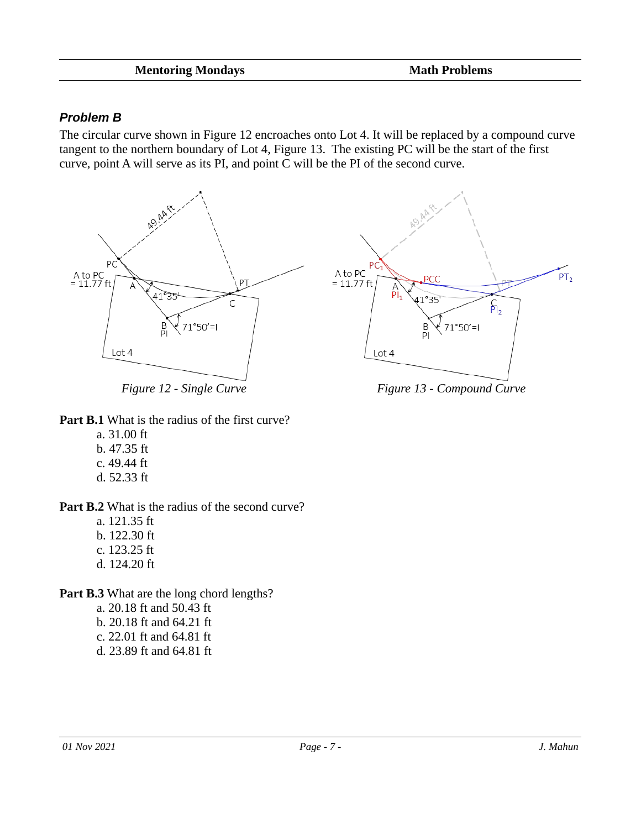#### **Mentoring Mondays Math Problems**

#### *Problem B*

The circular curve shown in Figure [12](#page-6-1) encroaches onto Lot 4. It will be replaced by a compound curve tangent to the northern boundary of Lot 4, Figure [13](#page-6-0). The existing PC will be the start of the first curve, point A will serve as its PI, and point C will be the PI of the second curve.



<span id="page-6-1"></span>

**Part B.1** What is the radius of the first curve?

- a. 31.00 ft
- b. 47.35 ft
- c. 49.44 ft
- d. 52.33 ft

Part B.2 What is the radius of the second curve?

- a. 121.35 ft
- b. 122.30 ft
- c. 123.25 ft
- d. 124.20 ft

Part B.3 What are the long chord lengths?

- a. 20.18 ft and 50.43 ft
- b. 20.18 ft and 64.21 ft
- c. 22.01 ft and 64.81 ft
- d. 23.89 ft and 64.81 ft

<span id="page-6-0"></span>

*Figure 12 - Single Curve Figure 13 - Compound Curve*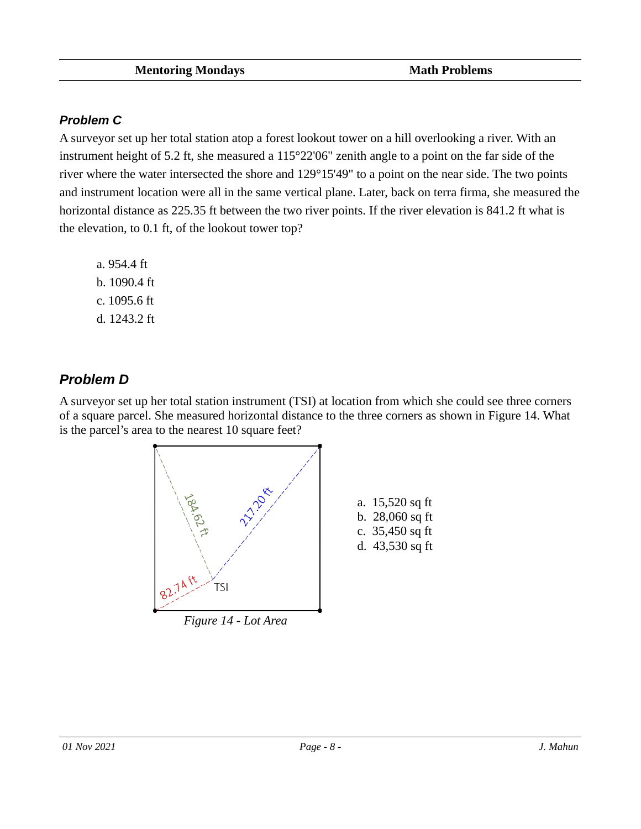### *Problem C*

A surveyor set up her total station atop a forest lookout tower on a hill overlooking a river. With an instrument height of 5.2 ft, she measured a 115°22'06" zenith angle to a point on the far side of the river where the water intersected the shore and 129°15'49" to a point on the near side. The two points and instrument location were all in the same vertical plane. Later, back on terra firma, she measured the horizontal distance as 225.35 ft between the two river points. If the river elevation is 841.2 ft what is the elevation, to 0.1 ft, of the lookout tower top?

a. 954.4 ft b. 1090.4 ft c. 1095.6 ft d. 1243.2 ft

# *Problem D*

A surveyor set up her total station instrument (TSI) at location from which she could see three corners of a square parcel. She measured horizontal distance to the three corners as shown in Figure [14](#page-7-0). What is the parcel's area to the nearest 10 square feet?

<span id="page-7-0"></span>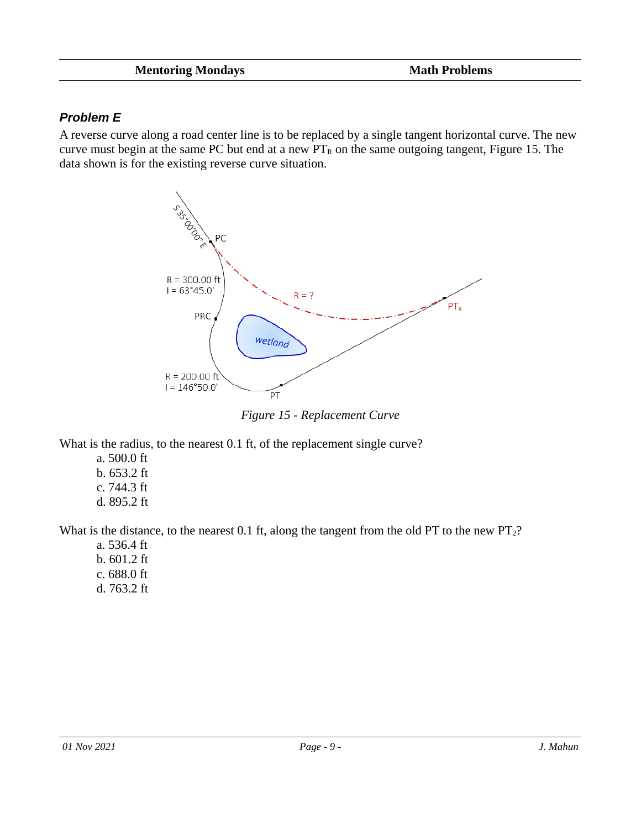### *Problem E*

A reverse curve along a road center line is to be replaced by a single tangent horizontal curve. The new curve must begin at the same PC but end at a new  $PT_R$  on the same outgoing tangent, Figure [15](#page-8-0). The data shown is for the existing reverse curve situation.



<span id="page-8-0"></span>*Figure 15 - Replacement Curve*

What is the radius, to the nearest 0.1 ft, of the replacement single curve?

- a. 500.0 ft
- b. 653.2 ft c. 744.3 ft
- d. 895.2 ft

What is the distance, to the nearest 0.1 ft, along the tangent from the old PT to the new  $PT_2$ ?

a. 536.4 ft b. 601.2 ft c. 688.0 ft d. 763.2 ft